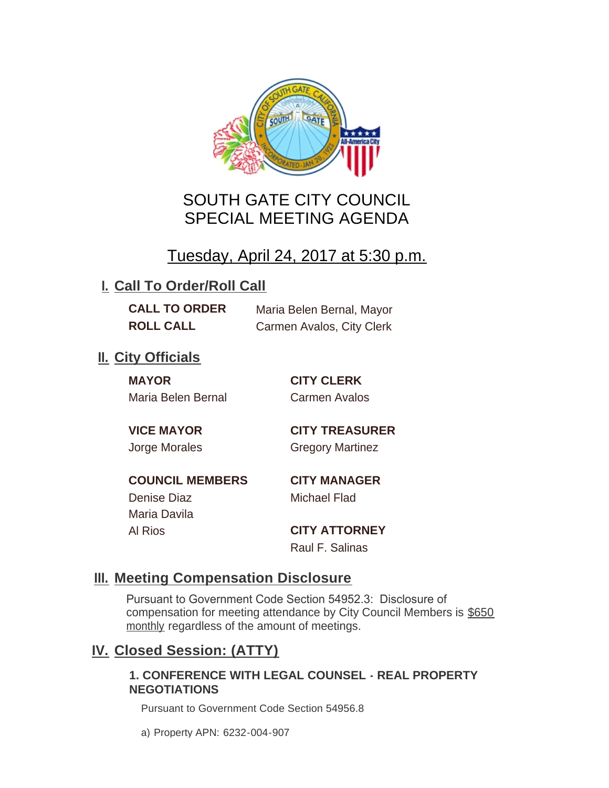

# SOUTH GATE CITY COUNCIL SPECIAL MEETING AGENDA

# Tuesday, April 24, 2017 at 5:30 p.m.

# **I. Call To Order/Roll Call**

**CALL TO ORDER** Maria Belen Bernal, Mayor **ROLL CALL** Carmen Avalos, City Clerk

# **II.** City Officials

**MAYOR CITY CLERK** Maria Belen Bernal Carmen Avalos

**VICE MAYOR CITY TREASURER** Jorge Morales Gregory Martinez

**COUNCIL MEMBERS CITY MANAGER** Denise Diaz Michael Flad

Maria Davila

Al Rios **CITY ATTORNEY** Raul F. Salinas

### **Meeting Compensation Disclosure III.**

Pursuant to Government Code Section 54952.3: Disclosure of compensation for meeting attendance by City Council Members is \$650 monthly regardless of the amount of meetings.

## **Closed Session: (ATTY) IV.**

#### **1. CONFERENCE WITH LEGAL COUNSEL - REAL PROPERTY NEGOTIATIONS**

Pursuant to Government Code Section 54956.8

a) Property APN: 6232-004-907